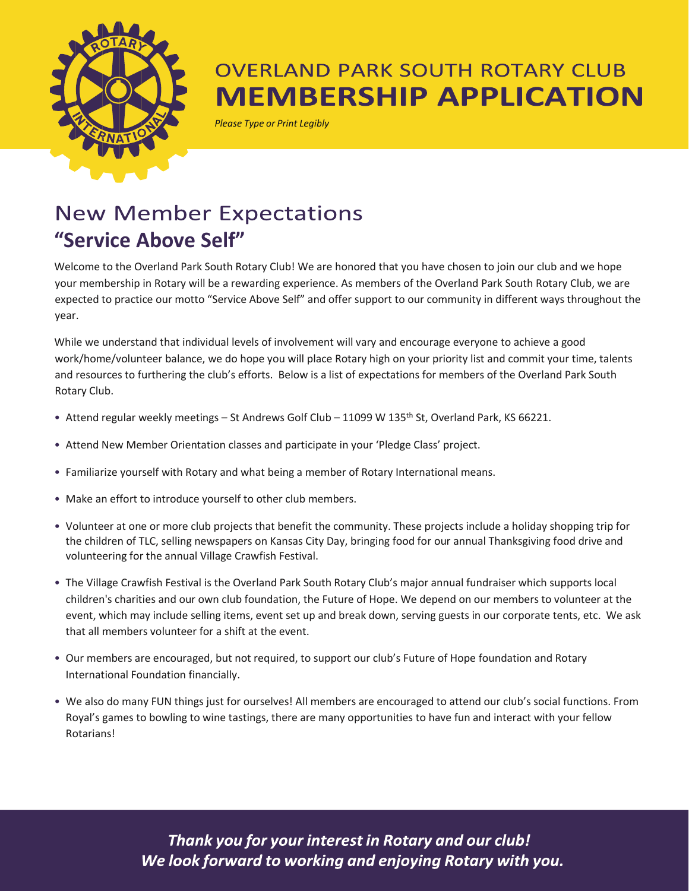

## **OVERLAND PARK SOUTH ROTARY CLUB MEMBERSHIP APPLICATION**

**Please Type or Print Legibly** 

# **New Member Expectations "Service Above Self"**

Welcome to the Overland Park South Rotary Club! We are honored that you have chosen to join our club and we hope your membership in Rotary will be a rewarding experience. As members of the Overland Park South Rotary Club, we are expected to practice our motto "Service Above Self" and offer support to our community in different ways throughout the year.

While we understand that individual levels of involvement will vary and encourage everyone to achieve a good work/home/volunteer balance, we do hope you will place Rotary high on your priority list and commit your time, talents and resources to furthering the club's efforts. Below is a list of expectations for members of the Overland Park South Rotary Club.

- Attend regular weekly meetings St Andrews Golf Club 11099 W 135<sup>th</sup> St, Overland Park, KS 66221.
- Attend New Member Orientation classes and participate in your 'Pledge Class' project.
- Familiarize yourself with Rotary and what being a member of Rotary International means.
- Make an effort to introduce yourself to other club members.
- Volunteer at one or more club projects that benefit the community. These projects include a holiday shopping trip for the children of TLC, selling newspapers on Kansas City Day, bringing food for our annual Thanksgiving food drive and volunteering for the annual Village Crawfish Festival.
- The Village Crawfish Festival is the Overland Park South Rotary Club's major annual fundraiser which supports local children's charities and our own club foundation, the Future of Hope. We depend on our members to volunteer at the event, which may include selling items, event set up and break down, serving guests in our corporate tents, etc. We ask that all members volunteer for a shift at the event.
- Our members are encouraged, but not required, to support our club's Future of Hope foundation and Rotary International Foundation financially.
- We also do many FUN things just for ourselves! All members are encouraged to attend our club's social functions. From Royal's games to bowling to wine tastings, there are many opportunities to have fun and interact with your fellow Rotarians!

Thank you for your interest in Rotary and our club! We look forward to working and enjoying Rotary with you.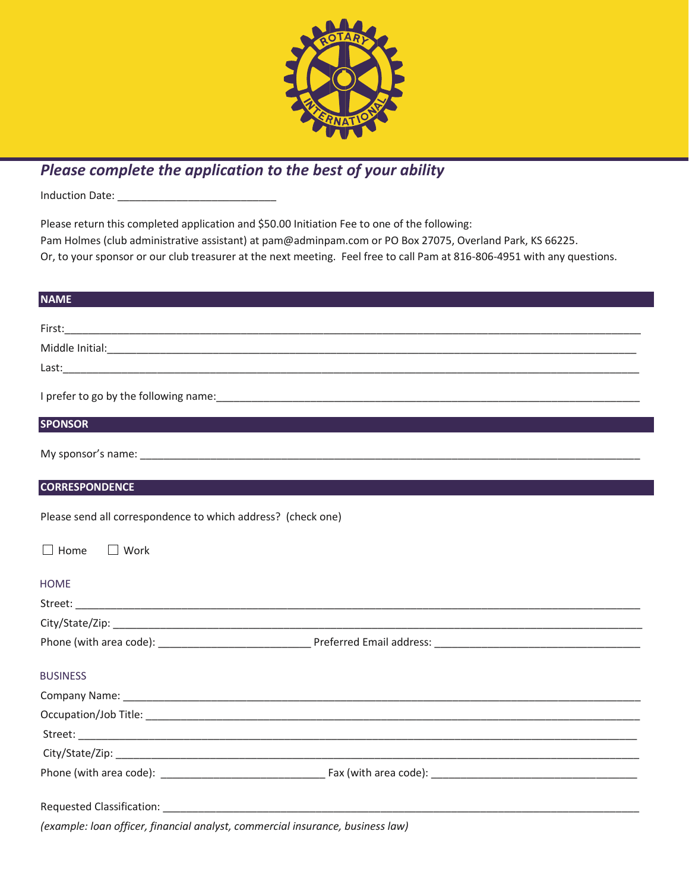

## *Please complete the application to the best of your ability*

Induction Date: \_\_\_\_\_\_\_\_\_\_\_\_\_\_\_\_\_\_\_\_\_\_\_\_\_\_\_

Please return this completed application and \$50.00 Initiation Fee to one of the following: Pam Holmes (club administrative assistant) at pam@adminpam.com or PO Box 27075, Overland Park, KS 66225. Or, to your sponsor or our club treasurer at the next meeting. Feel free to call Pam at 816-806-4951 with any questions.

| <b>NAME</b>                                                                    |  |
|--------------------------------------------------------------------------------|--|
|                                                                                |  |
|                                                                                |  |
|                                                                                |  |
|                                                                                |  |
|                                                                                |  |
| <b>SPONSOR</b>                                                                 |  |
|                                                                                |  |
| <b>CORRESPONDENCE</b>                                                          |  |
|                                                                                |  |
| Please send all correspondence to which address? (check one)                   |  |
| $\Box$ Home<br>$\Box$ Work                                                     |  |
| <b>HOME</b>                                                                    |  |
|                                                                                |  |
|                                                                                |  |
|                                                                                |  |
| <b>BUSINESS</b>                                                                |  |
|                                                                                |  |
|                                                                                |  |
|                                                                                |  |
|                                                                                |  |
|                                                                                |  |
|                                                                                |  |
| (example: loan officer, financial analyst, commercial insurance, business law) |  |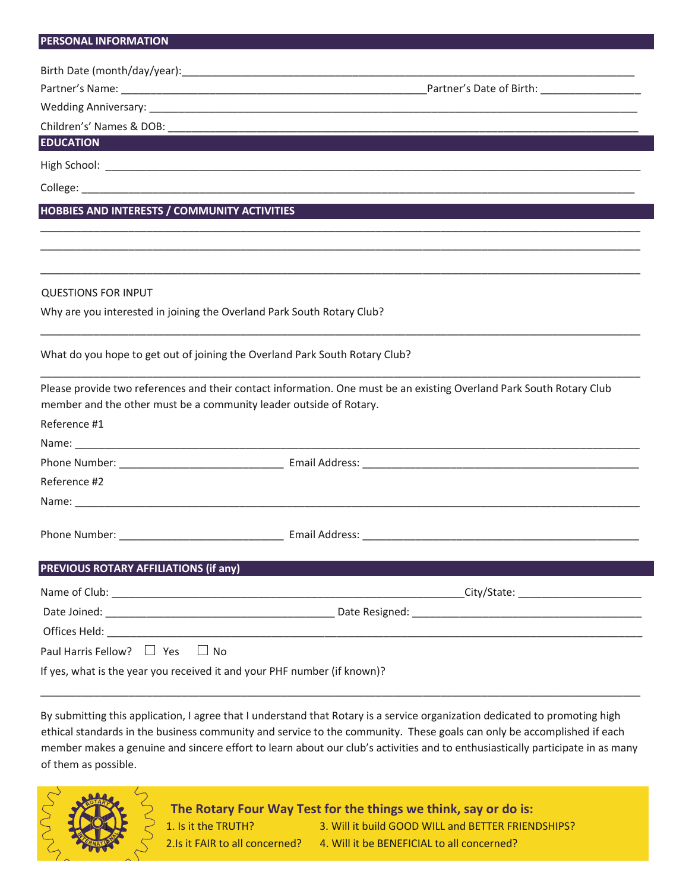#### **PERSONAL INFORMATION**

| <b>PERSONAL INFORMATION</b>                  |                                                                                                                                                                                                                                |
|----------------------------------------------|--------------------------------------------------------------------------------------------------------------------------------------------------------------------------------------------------------------------------------|
|                                              |                                                                                                                                                                                                                                |
|                                              |                                                                                                                                                                                                                                |
|                                              |                                                                                                                                                                                                                                |
|                                              |                                                                                                                                                                                                                                |
| <b>EDUCATION EXECUTIVE STATE</b>             |                                                                                                                                                                                                                                |
|                                              |                                                                                                                                                                                                                                |
|                                              |                                                                                                                                                                                                                                |
| HOBBIES AND INTERESTS / COMMUNITY ACTIVITIES |                                                                                                                                                                                                                                |
|                                              |                                                                                                                                                                                                                                |
| <b>QUESTIONS FOR INPUT</b>                   |                                                                                                                                                                                                                                |
|                                              | Why are you interested in joining the Overland Park South Rotary Club?                                                                                                                                                         |
|                                              | What do you hope to get out of joining the Overland Park South Rotary Club?                                                                                                                                                    |
|                                              | Please provide two references and their contact information. One must be an existing Overland Park South Rotary Club<br>member and the other must be a community leader outside of Rotary.                                     |
| Reference #1                                 |                                                                                                                                                                                                                                |
|                                              |                                                                                                                                                                                                                                |
|                                              |                                                                                                                                                                                                                                |
| Reference #2                                 |                                                                                                                                                                                                                                |
|                                              |                                                                                                                                                                                                                                |
|                                              |                                                                                                                                                                                                                                |
| PREVIOUS ROTARY AFFILIATIONS (if any)        |                                                                                                                                                                                                                                |
|                                              | City/State: City/State:                                                                                                                                                                                                        |
|                                              | Date Resigned: National Accounts and Accounts and Accounts and Accounts and Accounts and Accounts and Accounts and Accounts and Accounts and Accounts and Accounts and Accounts and Accounts and Accounts and Accounts and Acc |
|                                              |                                                                                                                                                                                                                                |
| Paul Harris Fellow? $\Box$ Yes               | <b>No</b>                                                                                                                                                                                                                      |

If yes, what is the year you received it and your PHF number (if known)?

By submitting this application, I agree that I understand that Rotary is a service organization dedicated to promoting high ethical standards in the business community and service to the community. These goals can only be accomplished if each member makes a genuine and sincere effort to learn about our club's activities and to enthusiastically participate in as many of them as possible.

\_\_\_\_\_\_\_\_\_\_\_\_\_\_\_\_\_\_\_\_\_\_\_\_\_\_\_\_\_\_\_\_\_\_\_\_\_\_\_\_\_\_\_\_\_\_\_\_\_\_\_\_\_\_\_\_\_\_\_\_\_\_\_\_\_\_\_\_\_\_\_\_\_\_\_\_\_\_\_\_\_\_\_\_\_\_\_\_\_\_\_\_\_\_\_\_\_\_\_\_\_\_



**The Rotary Four Way Test for the things we think, say or do is:** 1. Is it the TRUTH? 3. Will it build GOOD WILL and BETTER FRIENDSHIPS? 2.Is it FAIR to all concerned? 4. Will it be BENEFICIAL to all concerned?